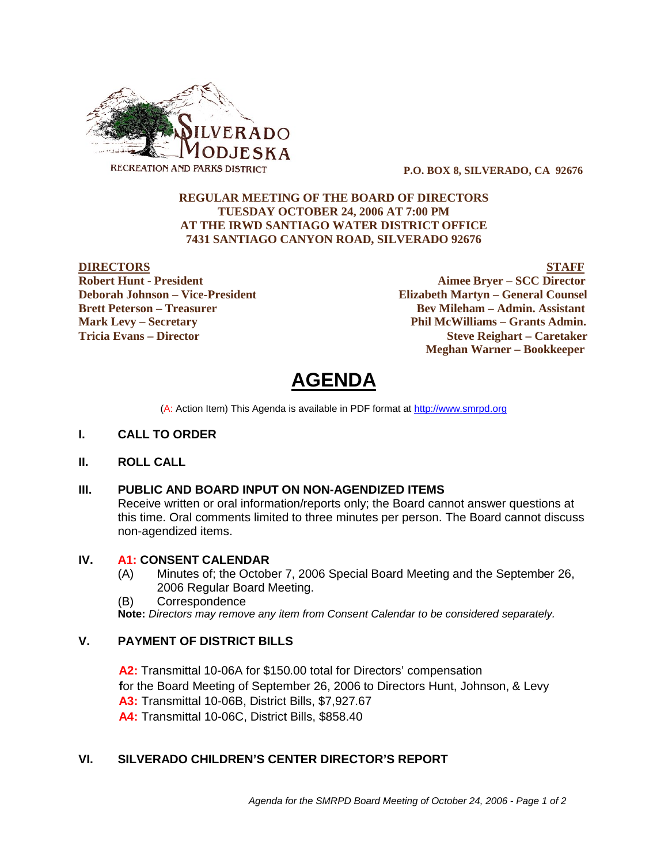

 **P.O. BOX 8, SILVERADO, CA 92676**

#### **REGULAR MEETING OF THE BOARD OF DIRECTORS TUESDAY OCTOBER 24, 2006 AT 7:00 PM AT THE IRWD SANTIAGO WATER DISTRICT OFFICE 7431 SANTIAGO CANYON ROAD, SILVERADO 92676**

**DIRECTORS STAFF Robert Hunt - President Aimee Bryer – SCC Director Deborah Johnson – Vice-President Elizabeth Martyn – General Counsel Brett Peterson – Treasurer Serverson – Bev Mileham – Admin. Assistant Mark Levy – Secretary Phil McWilliams – Grants Admin. Tricia Evans – Director Steve Reighart – Caretaker Meghan Warner – Bookkeeper**

**AGENDA** 

(A: Action Item) This Agenda is available in PDF format at http://www.smrpd.org

- **I. CALL TO ORDER**
- **II. ROLL CALL**

#### **III. PUBLIC AND BOARD INPUT ON NON-AGENDIZED ITEMS**

Receive written or oral information/reports only; the Board cannot answer questions at this time. Oral comments limited to three minutes per person. The Board cannot discuss non-agendized items.

#### **IV. A1:CONSENT CALENDAR**

- (A) Minutes of; the October 7, 2006 Special Board Meeting and the September 26, 2006 Regular Board Meeting.
- (B) Correspondence

**Note:** *Directors may remove any item from Consent Calendar to be considered separately.*

#### **V. PAYMENT OF DISTRICT BILLS**

**A2:**Transmittal 10-06A for \$150.00 total for Directors' compensation **f**or the Board Meeting of September 26, 2006 to Directors Hunt, Johnson, & Levy **A3:** Transmittal 10-06B, District Bills, \$7,927.67 **A4:** Transmittal 10-06C, District Bills, \$858.40

## **VI. SILVERADO CHILDREN'S CENTER DIRECTOR'S REPORT**